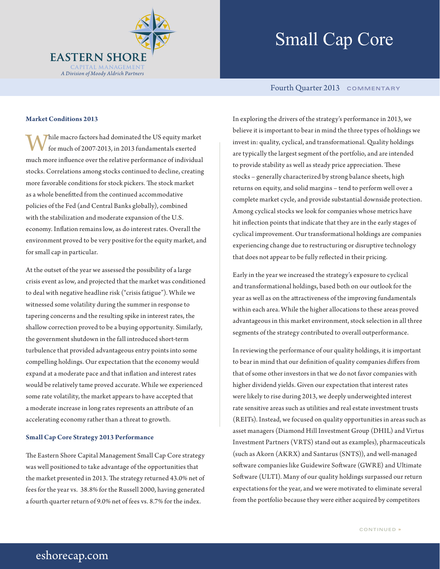

# Small Cap Core

# Fourth Quarter 2013 **COMMENTARY**

## **Market Conditions 2013**

hile macro factors had dominated the US equity market for much of 2007-2013, in 2013 fundamentals exerted much more influence over the relative performance of individual stocks. Correlations among stocks continued to decline, creating more favorable conditions for stock pickers. The stock market as a whole benefitted from the continued accommodative policies of the Fed (and Central Banks globally), combined with the stabilization and moderate expansion of the U.S. economy. Inflation remains low, as do interest rates. Overall the environment proved to be very positive for the equity market, and for small cap in particular.

At the outset of the year we assessed the possibility of a large crisis event as low, and projected that the market was conditioned to deal with negative headline risk ("crisis fatigue"). While we witnessed some volatility during the summer in response to tapering concerns and the resulting spike in interest rates, the shallow correction proved to be a buying opportunity. Similarly, the government shutdown in the fall introduced short-term turbulence that provided advantageous entry points into some compelling holdings. Our expectation that the economy would expand at a moderate pace and that inflation and interest rates would be relatively tame proved accurate. While we experienced some rate volatility, the market appears to have accepted that a moderate increase in long rates represents an attribute of an accelerating economy rather than a threat to growth.

#### **Small Cap Core Strategy 2013 Performance**

The Eastern Shore Capital Management Small Cap Core strategy was well positioned to take advantage of the opportunities that the market presented in 2013. The strategy returned 43.0% net of fees for the year vs. 38.8% for the Russell 2000, having generated a fourth quarter return of 9.0% net of fees vs. 8.7% for the index.

In exploring the drivers of the strategy's performance in 2013, we believe it is important to bear in mind the three types of holdings we invest in: quality, cyclical, and transformational. Quality holdings are typically the largest segment of the portfolio, and are intended to provide stability as well as steady price appreciation. These stocks – generally characterized by strong balance sheets, high returns on equity, and solid margins – tend to perform well over a complete market cycle, and provide substantial downside protection. Among cyclical stocks we look for companies whose metrics have hit inflection points that indicate that they are in the early stages of cyclical improvement. Our transformational holdings are companies experiencing change due to restructuring or disruptive technology that does not appear to be fully reflected in their pricing.

Early in the year we increased the strategy's exposure to cyclical and transformational holdings, based both on our outlook for the year as well as on the attractiveness of the improving fundamentals within each area. While the higher allocations to these areas proved advantageous in this market environment, stock selection in all three segments of the strategy contributed to overall outperformance.

In reviewing the performance of our quality holdings, it is important to bear in mind that our definition of quality companies differs from that of some other investors in that we do not favor companies with higher dividend yields. Given our expectation that interest rates were likely to rise during 2013, we deeply underweighted interest rate sensitive areas such as utilities and real estate investment trusts (REITs). Instead, we focused on quality opportunities in areas such as asset managers (Diamond Hill Investment Group (DHIL) and Virtus Investment Partners (VRTS) stand out as examples), pharmaceuticals (such as Akorn (AKRX) and Santarus (SNTS)), and well-managed software companies like Guidewire Software (GWRE) and Ultimate Software (ULTI). Many of our quality holdings surpassed our return expectations for the year, and we were motivated to eliminate several from the portfolio because they were either acquired by competitors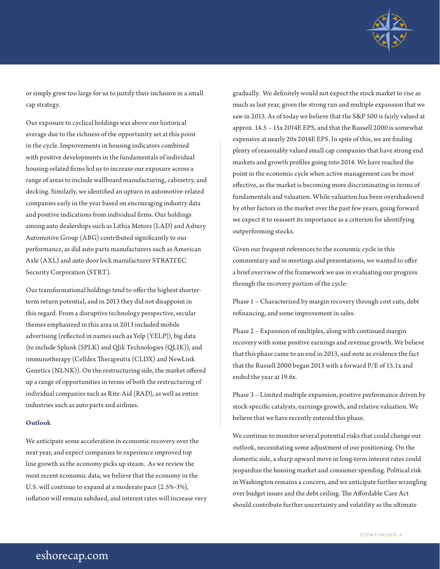

or simply grew too large for us to justify their inclusion in a small cap strategy.

Our exposure to cyclical holdings was above our historical average due to the richness of the opportunity set at this point in the cycle. Improvements in housing indicators combined with positive developments in the fundamentals of individual housing-related firms led us to increase our exposure across a range of areas to include wallboard manufacturing, cabinetry, and decking. Similarly, we identified an upturn in automotive-related companies early in the year based on encouraging industry data and positive indications from individual firms. Our holdings among auto dealerships such as Lithia Motors (LAD) and Asbury Automotive Group (ABG) contributed significantly to our performance, as did auto parts manufacturers such as American Axle (AXL) and auto door lock manufacturer STRATTEC Security Corporation (STRT).

Our transformational holdings tend to offer the highest shorterterm return potential, and in 2013 they did not disappoint in this regard. From a disruptive technology perspective, secular themes emphasized in this area in 2013 included mobile advertising (reflected in names such as Yelp (YELP)), big data (to include Splunk (SPLK) and Qlik Technologies (QLIK)), and immunotherapy (Celldex Therapeutix (CLDX) and NewLink Genetics (NLNK)). On the restructuring side, the market offered up a range of opportunities in terms of both the restructuring of individual companies such as Rite-Aid (RAD), as well as entire industries such as auto parts and airlines.

## **Outlook**

We anticipate some acceleration in economic recovery over the next year, and expect companies to experience improved top line growth as the economy picks up steam. As we review the most recent economic data, we believe that the economy in the U.S. will continue to expand at a moderate pace (2.5%-3%), inflation will remain subdued, and interest rates will increase very gradually. We definitely would not expect the stock market to rise as much as last year, given the strong run and multiple expansion that we saw in 2013. As of today we believe that the S&P 500 is fairly valued at approx. 14.5 – 15x 2014E EPS, and that the Russell 2000 is somewhat expensive at nearly 20x 2014E EPS. In spite of this, we are finding plenty of reasonably valued small cap companies that have strong end markets and growth profiles going into 2014. We have reached the point in the economic cycle when active management can be most effective, as the market is becoming more discriminating in terms of fundamentals and valuation. While valuation has been overshadowed by other factors in the market over the past few years, going forward we expect it to reassert its importance as a criterion for identifying outperforming stocks.

Given our frequent references to the economic cycle in this commentary and in meetings and presentations, we wanted to offer a brief overview of the framework we use in evaluating our progress through the recovery portion of the cycle:

Phase 1 – Characterized by margin recovery through cost cuts, debt refinancing, and some improvement in sales.

Phase 2 – Expansion of multiples, along with continued margin recovery with some positive earnings and revenue growth. We believe that this phase came to an end in 2013, and note as evidence the fact that the Russell 2000 began 2013 with a forward P/E of 15.1x and ended the year at 19.6x.

Phase 3 – Limited multiple expansion, positive performance driven by stock-specific catalysts, earnings growth, and relative valuation. We believe that we have recently entered this phase.

We continue to monitor several potential risks that could change our outlook, necessitating some adjustment of our positioning. On the domestic side, a sharp upward move in long-term interest rates could jeopardize the housing market and consumer spending. Political risk in Washington remains a concern, and we anticipate further wrangling over budget issues and the debt ceiling. The Affordable Care Act should contribute further uncertainty and volatility as the ultimate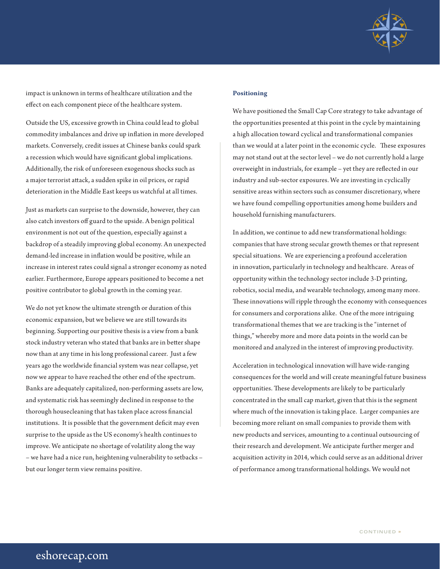

impact is unknown in terms of healthcare utilization and the effect on each component piece of the healthcare system.

Outside the US, excessive growth in China could lead to global commodity imbalances and drive up inflation in more developed markets. Conversely, credit issues at Chinese banks could spark a recession which would have significant global implications. Additionally, the risk of unforeseen exogenous shocks such as a major terrorist attack, a sudden spike in oil prices, or rapid deterioration in the Middle East keeps us watchful at all times.

Just as markets can surprise to the downside, however, they can also catch investors off guard to the upside. A benign political environment is not out of the question, especially against a backdrop of a steadily improving global economy. An unexpected demand-led increase in inflation would be positive, while an increase in interest rates could signal a stronger economy as noted earlier. Furthermore, Europe appears positioned to become a net positive contributor to global growth in the coming year.

We do not yet know the ultimate strength or duration of this economic expansion, but we believe we are still towards its beginning. Supporting our positive thesis is a view from a bank stock industry veteran who stated that banks are in better shape now than at any time in his long professional career. Just a few years ago the worldwide financial system was near collapse, yet now we appear to have reached the other end of the spectrum. Banks are adequately capitalized, non-performing assets are low, and systematic risk has seemingly declined in response to the thorough housecleaning that has taken place across financial institutions. It is possible that the government deficit may even surprise to the upside as the US economy's health continues to improve. We anticipate no shortage of volatility along the way – we have had a nice run, heightening vulnerability to setbacks – but our longer term view remains positive.

#### **Positioning**

We have positioned the Small Cap Core strategy to take advantage of the opportunities presented at this point in the cycle by maintaining a high allocation toward cyclical and transformational companies than we would at a later point in the economic cycle. These exposures may not stand out at the sector level – we do not currently hold a large overweight in industrials, for example – yet they are reflected in our industry and sub-sector exposures. We are investing in cyclically sensitive areas within sectors such as consumer discretionary, where we have found compelling opportunities among home builders and household furnishing manufacturers.

In addition, we continue to add new transformational holdings: companies that have strong secular growth themes or that represent special situations. We are experiencing a profound acceleration in innovation, particularly in technology and healthcare. Areas of opportunity within the technology sector include 3-D printing, robotics, social media, and wearable technology, among many more. These innovations will ripple through the economy with consequences for consumers and corporations alike. One of the more intriguing transformational themes that we are tracking is the "internet of things," whereby more and more data points in the world can be monitored and analyzed in the interest of improving productivity.

Acceleration in technological innovation will have wide-ranging consequences for the world and will create meaningful future business opportunities. These developments are likely to be particularly concentrated in the small cap market, given that this is the segment where much of the innovation is taking place. Larger companies are becoming more reliant on small companies to provide them with new products and services, amounting to a continual outsourcing of their research and development. We anticipate further merger and acquisition activity in 2014, which could serve as an additional driver of performance among transformational holdings. We would not